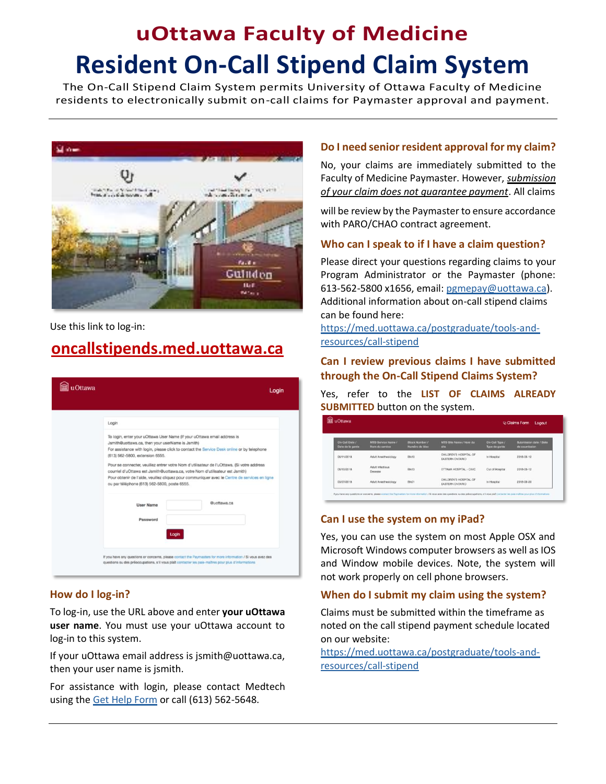# **uOttawa Faculty of Medicine Resident On-Call Stipend Claim System**

The On-Call Stipend Claim System permits University of Ottawa Faculty of Medicine residents to electronically submit on-call claims for Paymaster approval and payment.



Use this link to log-in:

# **[oncallstipends.med.uottawa.ca](/Users/raustin/Dropbox%20(Personal)/Clients/U%20of%20Ottawa/MedSys/1%20Business%20Transformation%20Office/1%20BTO%20projects/PG%20On%20Call%20Stipends/Roll%20out%20planning%20-%20phase%202%20Oct%202018/User%20FAQ%20help%20sheet%20-%202019/oncallstipends.med.uottawa.ca)**



#### **How do I log-in?**

To log-in, use the URL above and enter **your uOttawa user name**. You must use your uOttawa account to log-in to this system.

If your uOttawa email address is jsmith@uottawa.ca, then your user name is jsmith.

For assistance with login, please contact Medtech using the [Get Help Form](http://www.med.uottawa.ca/medtech/help/) or call (613) 562-5648.

#### **Do I need senior resident approval for my claim?**

No, your claims are immediately submitted to the Faculty of Medicine Paymaster. However, *submission of your claim does not guarantee payment*. All claims

will be review by the Paymaster to ensure accordance with PARO/CHAO contract agreement.

# **Who can I speak to if I have a claim question?**

Please direct your questions regarding claims to your Program Administrator or the Paymaster (phone: 613-562-5800 x1656, email: [pgmepay@uottawa.ca\)](mailto:pgmepay@uottawa.ca?subject=Stipend%20claim). Additional information about on-call stipend claims can be found here:

[https://med.uottawa.ca/postgraduate/tools-and](https://med.uottawa.ca/postgraduate/tools-and-resources/call-stipend)[resources/call-stipend](https://med.uottawa.ca/postgraduate/tools-and-resources/call-stipend)

#### **Can I review previous claims I have submitted through the On-Call Stipend Claims System?**

Yes, refer to the **LIST OF CLAIMS ALREADY SUBMITTED** button on the system.

| u Ottawa                           |                                             |                                         |                                                  | V <sub>1</sub> Claims Form<br>Logout |                                         |
|------------------------------------|---------------------------------------------|-----------------------------------------|--------------------------------------------------|--------------------------------------|-----------------------------------------|
| On-Call Date /<br>Date de la garde | <b>MTD Service Name /</b><br>Nom du service | <b>Block Number /</b><br>Numáro de bioc | MTD Site Name / Nom du<br>alte                   | On-Call Type /<br>Type de garde      | Submission date / Date<br>de soumission |
| 06/11/2018                         | Adult Anesthesiology                        | Blk13                                   | CHILDREN'S HOSPITAL OF<br><b>EASTERN ONTARIO</b> | In Hospital                          | 2018-06-12                              |
| 06/10/2018                         | Adult Infectious<br>Desease                 | <b>BIk13</b>                            | OTTAWA HOSPITAL - CIVIC                          | Out of Hospital                      | 2018-06-12                              |
| 03/27/2018                         | Adult Anesthesiology                        | BIk01                                   | CHILDREN'S HOSPITAL OF<br><b>EASTERN ONTARIO</b> | In Hospital                          | 2018-08-20                              |

# **Can I use the system on my iPad?**

Yes, you can use the system on most Apple OSX and Microsoft Windows computer browsers as well as IOS and Window mobile devices. Note, the system will not work properly on cell phone browsers.

# **When do I submit my claim using the system?**

Claims must be submitted within the timeframe as noted on the call stipend payment schedule located on our website:

[https://med.uottawa.ca/postgraduate/tools-and](https://med.uottawa.ca/postgraduate/tools-and-resources/call-stipend)[resources/call-stipend](https://med.uottawa.ca/postgraduate/tools-and-resources/call-stipend)